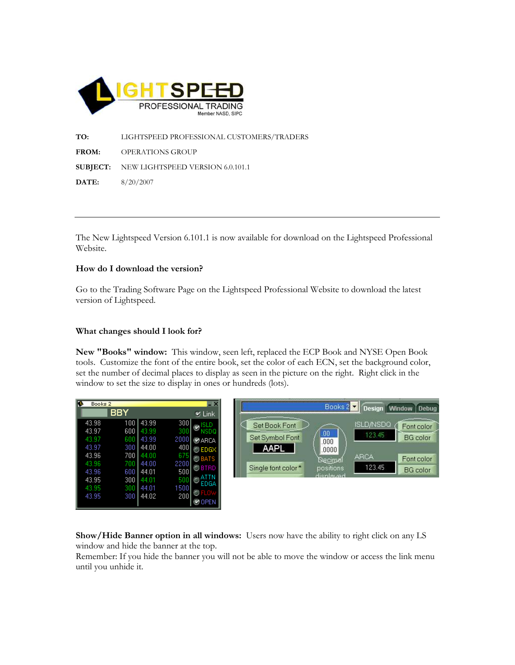

TO: LIGHTSPEED PROFESSIONAL CUSTOMERS/TRADERS FROM: OPERATIONS GROUP SUBJECT: NEW LIGHTSPEED VERSION 6.0.101.1 DATE: 8/20/2007

The New Lightspeed Version 6.101.1 is now available for download on the Lightspeed Professional Website.

## How do I download the version?

Go to the Trading Software Page on the Lightspeed Professional Website to download the latest version of Lightspeed.

## What changes should I look for?

New "Books" window: This window, seen left, replaced the ECP Book and NYSE Open Book tools. Customize the font of the entire book, set the color of each ECN, set the background color, set the number of decimal places to display as seen in the picture on the right. Right click in the window to set the size to display in ones or hundreds (lots).

| Books 2 |     |       |      | $\overline{\mathbf{x}}$ |                    |
|---------|-----|-------|------|-------------------------|--------------------|
|         | BBY |       |      | $V$ Link                |                    |
| 43.98   | 100 | 43.99 | 300  | ISLD                    | Set Book Font      |
| 43.97   | 600 | 43.99 | 300  | NSDQ                    |                    |
| 43.97   | 600 | 43.99 | 2000 | ®ARCA                   | Set Symbol Font    |
| 43.97   | 300 | 44.00 | 400  | O EDGX                  | <b>AAPL</b>        |
| 43.96   | 700 | 44.00 | 675  | $\bigcirc$ bats         |                    |
| 43.96   | 700 | 44.00 | 2200 |                         |                    |
| 43.96   | 600 | 44.01 | 500  | $\oslash$ btrd          | Single font color* |
| 43.95   | 300 | 44.01 | 500  |                         |                    |
| 43.95   | 300 | 44.01 | 1500 | EDGA                    |                    |
| 43.95   | 300 | 44.02 | 200  | FLO                     |                    |
|         |     |       |      |                         |                    |



Show/Hide Banner option in all windows: Users now have the ability to right click on any LS window and hide the banner at the top.

Remember: If you hide the banner you will not be able to move the window or access the link menu until you unhide it.